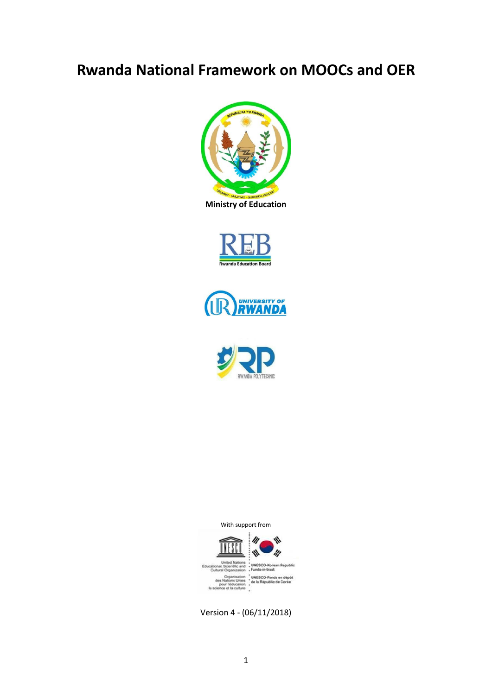## <span id="page-0-0"></span>**Rwanda National Framework on MOOCs and OER**









With support from



Version 4 - (06/11/2018)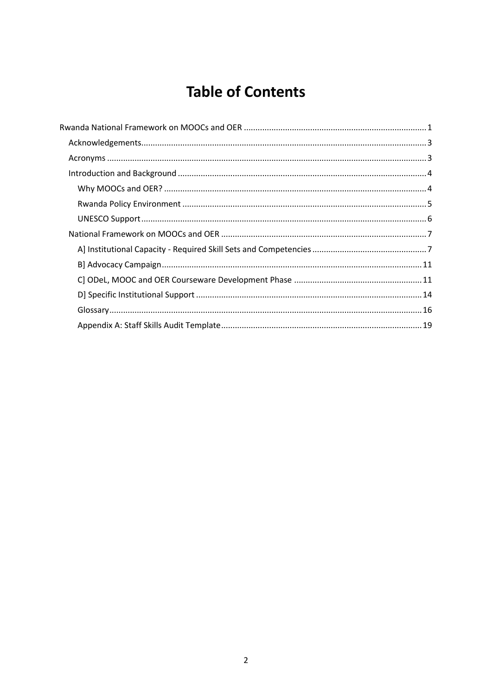# **Table of Contents**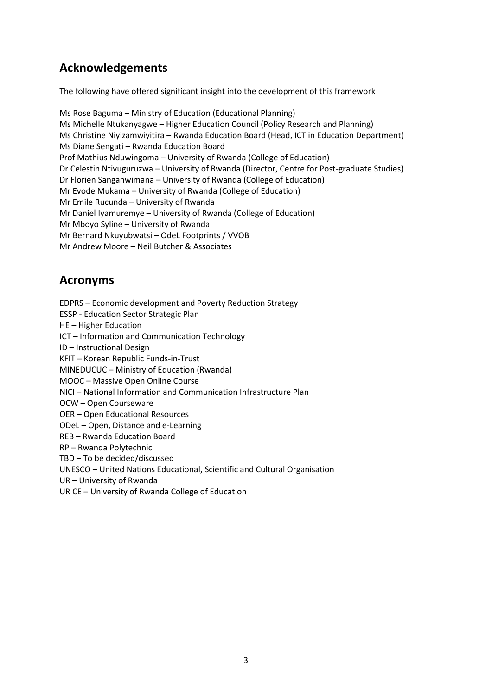### <span id="page-2-0"></span>**Acknowledgements**

The following have offered significant insight into the development of this framework

Ms Rose Baguma – Ministry of Education (Educational Planning) Ms Michelle Ntukanyagwe – Higher Education Council (Policy Research and Planning) Ms Christine Niyizamwiyitira – Rwanda Education Board (Head, ICT in Education Department) Ms Diane Sengati – Rwanda Education Board Prof Mathius Nduwingoma – University of Rwanda (College of Education) Dr Celestin Ntivuguruzwa – University of Rwanda (Director, Centre for Post-graduate Studies) Dr Florien Sanganwimana – University of Rwanda (College of Education) Mr Evode Mukama – University of Rwanda (College of Education) Mr Emile Rucunda – University of Rwanda Mr Daniel Iyamuremye – University of Rwanda (College of Education) Mr Mboyo Syline – University of Rwanda Mr Bernard Nkuyubwatsi – OdeL Footprints / VVOB Mr Andrew Moore – Neil Butcher & Associates

### <span id="page-2-1"></span>**Acronyms**

EDPRS – Economic development and Poverty Reduction Strategy ESSP - Education Sector Strategic Plan HE – Higher Education ICT – Information and Communication Technology ID – Instructional Design KFIT – Korean Republic Funds-in-Trust MINEDUCUC – Ministry of Education (Rwanda) MOOC – Massive Open Online Course NICI – National Information and Communication Infrastructure Plan OCW – Open Courseware OER – Open Educational Resources ODeL – Open, Distance and e-Learning REB – Rwanda Education Board RP – Rwanda Polytechnic TBD – To be decided/discussed UNESCO – United Nations Educational, Scientific and Cultural Organisation UR – University of Rwanda UR CE – University of Rwanda College of Education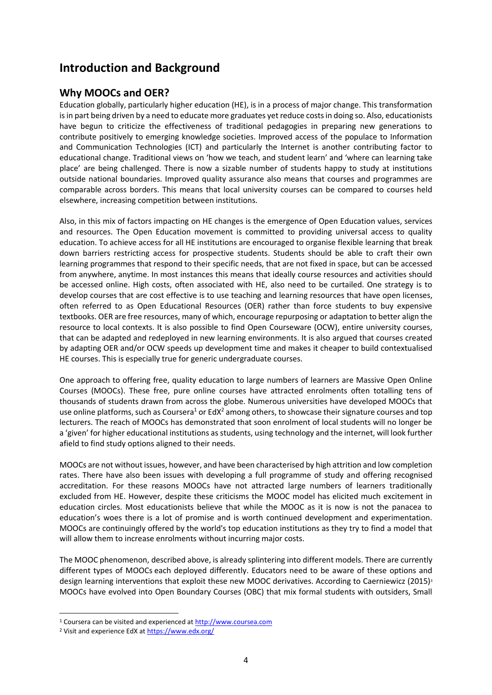### <span id="page-3-0"></span>**Introduction and Background**

#### <span id="page-3-1"></span>**Why MOOCs and OER?**

Education globally, particularly higher education (HE), is in a process of major change. This transformation is in part being driven by a need to educate more graduates yet reduce costs in doing so. Also, educationists have begun to criticize the effectiveness of traditional pedagogies in preparing new generations to contribute positively to emerging knowledge societies. Improved access of the populace to Information and Communication Technologies (ICT) and particularly the Internet is another contributing factor to educational change. Traditional views on 'how we teach, and student learn' and 'where can learning take place' are being challenged. There is now a sizable number of students happy to study at institutions outside national boundaries. Improved quality assurance also means that courses and programmes are comparable across borders. This means that local university courses can be compared to courses held elsewhere, increasing competition between institutions.

Also, in this mix of factors impacting on HE changes is the emergence of Open Education values, services and resources. The Open Education movement is committed to providing universal access to quality education. To achieve access for all HE institutions are encouraged to organise flexible learning that break down barriers restricting access for prospective students. Students should be able to craft their own learning programmes that respond to their specific needs, that are not fixed in space, but can be accessed from anywhere, anytime. In most instances this means that ideally course resources and activities should be accessed online. High costs, often associated with HE, also need to be curtailed. One strategy is to develop courses that are cost effective is to use teaching and learning resources that have open licenses, often referred to as Open Educational Resources (OER) rather than force students to buy expensive textbooks. OER are free resources, many of which, encourage repurposing or adaptation to better align the resource to local contexts. It is also possible to find Open Courseware (OCW), entire university courses, that can be adapted and redeployed in new learning environments. It is also argued that courses created by adapting OER and/or OCW speeds up development time and makes it cheaper to build contextualised HE courses. This is especially true for generic undergraduate courses.

One approach to offering free, quality education to large numbers of learners are Massive Open Online Courses (MOOCs). These free, pure online courses have attracted enrolments often totalling tens of thousands of students drawn from across the globe. Numerous universities have developed MOOCs that use online platforms, such as Coursera<sup>1</sup> or EdX<sup>2</sup> among others, to showcase their signature courses and top lecturers. The reach of MOOCs has demonstrated that soon enrolment of local students will no longer be a 'given' for higher educational institutions as students, using technology and the internet, will look further afield to find study options aligned to their needs.

MOOCs are not without issues, however, and have been characterised by high attrition and low completion rates. There have also been issues with developing a full programme of study and offering recognised accreditation. For these reasons MOOCs have not attracted large numbers of learners traditionally excluded from HE. However, despite these criticisms the MOOC model has elicited much excitement in education circles. Most educationists believe that while the MOOC as it is now is not the panacea to education's woes there is a lot of promise and is worth continued development and experimentation. MOOCs are continuingly offered by the world's top education institutions as they try to find a model that will allow them to increase enrolments without incurring major costs.

The MOOC phenomenon, described above, is already splintering into different models. There are currently different types of MOOCs each deployed differently. Educators need to be aware of these options and design learning interventions that exploit these new MOOC derivatives. According to Caerniewicz (2015)<sup>3</sup> MOOCs have evolved into Open Boundary Courses (OBC) that mix formal students with outsiders, Small

**.** 

<sup>1</sup> Coursera can be visited and experienced a[t http://www.coursea.com](http://www.coursea.com/)

<sup>&</sup>lt;sup>2</sup> Visit and experience EdX a[t https://www.edx.org/](https://www.edx.org/)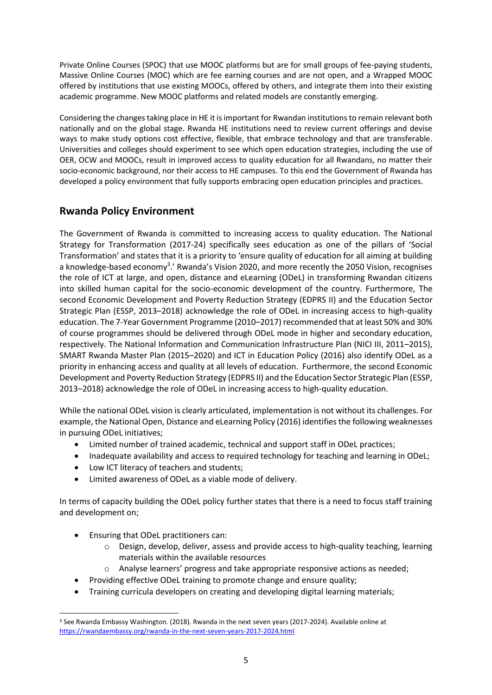Private Online Courses (SPOC) that use MOOC platforms but are for small groups of fee-paying students, Massive Online Courses (MOC) which are fee earning courses and are not open, and a Wrapped MOOC offered by institutions that use existing MOOCs, offered by others, and integrate them into their existing academic programme. New MOOC platforms and related models are constantly emerging.

Considering the changes taking place in HE it is important for Rwandan institutions to remain relevant both nationally and on the global stage. Rwanda HE institutions need to review current offerings and devise ways to make study options cost effective, flexible, that embrace technology and that are transferable. Universities and colleges should experiment to see which open education strategies, including the use of OER, OCW and MOOCs, result in improved access to quality education for all Rwandans, no matter their socio-economic background, nor their access to HE campuses. To this end the Government of Rwanda has developed a policy environment that fully supports embracing open education principles and practices.

### <span id="page-4-0"></span>**Rwanda Policy Environment**

The Government of Rwanda is committed to increasing access to quality education. The National Strategy for Transformation (2017-24) specifically sees education as one of the pillars of 'Social Transformation' and states that it is a priority to 'ensure quality of education for all aiming at building a knowledge-based economy<sup>3</sup>.' Rwanda's Vision 2020, and more recently the 2050 Vision, recognises the role of ICT at large, and open, distance and eLearning (ODeL) in transforming Rwandan citizens into skilled human capital for the socio-economic development of the country. Furthermore, The second Economic Development and Poverty Reduction Strategy (EDPRS II) and the Education Sector Strategic Plan (ESSP, 2013–2018) acknowledge the role of ODeL in increasing access to high-quality education. The 7-Year Government Programme (2010–2017) recommended that at least 50% and 30% of course programmes should be delivered through ODeL mode in higher and secondary education, respectively. The National Information and Communication Infrastructure Plan (NICI III, 2011–2015), SMART Rwanda Master Plan (2015–2020) and ICT in Education Policy (2016) also identify ODeL as a priority in enhancing access and quality at all levels of education. Furthermore, the second Economic Development and Poverty Reduction Strategy (EDPRS II) and the Education Sector Strategic Plan (ESSP, 2013–2018) acknowledge the role of ODeL in increasing access to high-quality education.

While the national ODeL vision is clearly articulated, implementation is not without its challenges. For example, the National Open, Distance and eLearning Policy (2016) identifies the following weaknesses in pursuing ODeL initiatives;

- Limited number of trained academic, technical and support staff in ODeL practices;
- Inadequate availability and access to required technology for teaching and learning in ODeL;
- Low ICT literacy of teachers and students;
- Limited awareness of ODeL as a viable mode of delivery.

In terms of capacity building the ODeL policy further states that there is a need to focus staff training and development on;

- Ensuring that ODeL practitioners can:
	- $\circ$  Design, develop, deliver, assess and provide access to high-quality teaching, learning materials within the available resources
	- o Analyse learners' progress and take appropriate responsive actions as needed;
- Providing effective ODeL training to promote change and ensure quality;
- Training curricula developers on creating and developing digital learning materials;

**<sup>.</sup>** <sup>3</sup> See Rwanda Embassy Washington. (2018). Rwanda in the next seven years (2017-2024). Available online at <https://rwandaembassy.org/rwanda-in-the-next-seven-years-2017-2024.html>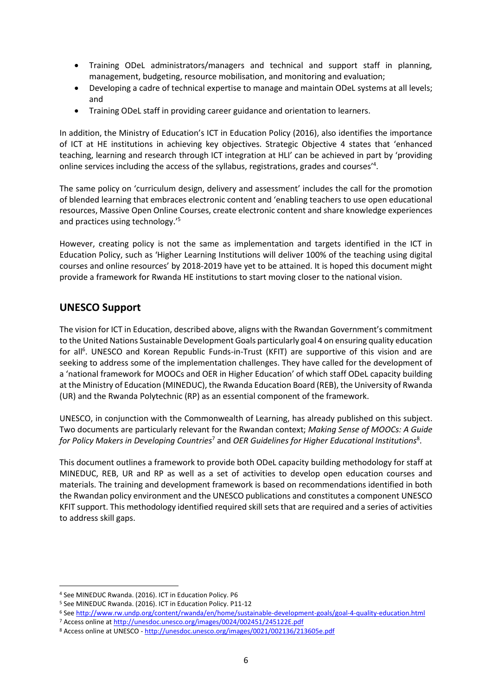- Training ODeL administrators/managers and technical and support staff in planning, management, budgeting, resource mobilisation, and monitoring and evaluation;
- Developing a cadre of technical expertise to manage and maintain ODeL systems at all levels; and
- Training ODeL staff in providing career guidance and orientation to learners.

In addition, the Ministry of Education's ICT in Education Policy (2016), also identifies the importance of ICT at HE institutions in achieving key objectives. Strategic Objective 4 states that 'enhanced teaching, learning and research through ICT integration at HLI' can be achieved in part by 'providing online services including the access of the syllabus, registrations, grades and courses'<sup>4</sup>.

The same policy on 'curriculum design, delivery and assessment' includes the call for the promotion of blended learning that embraces electronic content and 'enabling teachers to use open educational resources, Massive Open Online Courses, create electronic content and share knowledge experiences and practices using technology.'<sup>5</sup>

However, creating policy is not the same as implementation and targets identified in the ICT in Education Policy, such as 'Higher Learning Institutions will deliver 100% of the teaching using digital courses and online resources' by 2018-2019 have yet to be attained. It is hoped this document might provide a framework for Rwanda HE institutions to start moving closer to the national vision.

### <span id="page-5-0"></span>**UNESCO Support**

The vision for ICT in Education, described above, aligns with the Rwandan Government's commitment to the United Nations Sustainable Development Goals particularly goal 4 on ensuring quality education for all<sup>6</sup>. UNESCO and Korean Republic Funds-in-Trust (KFIT) are supportive of this vision and are seeking to address some of the implementation challenges. They have called for the development of a 'national framework for MOOCs and OER in Higher Education' of which staff ODeL capacity building at the Ministry of Education (MINEDUC), the Rwanda Education Board (REB), the University of Rwanda (UR) and the Rwanda Polytechnic (RP) as an essential component of the framework.

UNESCO, in conjunction with the Commonwealth of Learning, has already published on this subject. Two documents are particularly relevant for the Rwandan context; *Making Sense of MOOCs: A Guide for Policy Makers in Developing Countries*<sup>7</sup> and *OER Guidelines for Higher Educational Institutions*<sup>8</sup> .

This document outlines a framework to provide both ODeL capacity building methodology for staff at MINEDUC, REB, UR and RP as well as a set of activities to develop open education courses and materials. The training and development framework is based on recommendations identified in both the Rwandan policy environment and the UNESCO publications and constitutes a component UNESCO KFIT support. This methodology identified required skill sets that are required and a series of activities to address skill gaps.

**.** 

<sup>4</sup> See MINEDUC Rwanda. (2016). ICT in Education Policy. P6

<sup>5</sup> See MINEDUC Rwanda. (2016). ICT in Education Policy. P11-12

<sup>6</sup> Se[e http://www.rw.undp.org/content/rwanda/en/home/sustainable-development-goals/goal-4-quality-education.html](http://www.rw.undp.org/content/rwanda/en/home/sustainable-development-goals/goal-4-quality-education.html) <sup>7</sup> Access online a[t http://unesdoc.unesco.org/images/0024/002451/245122E.pdf](http://unesdoc.unesco.org/images/0024/002451/245122E.pdf)

<sup>8</sup> Access online at UNESCO - <http://unesdoc.unesco.org/images/0021/002136/213605e.pdf>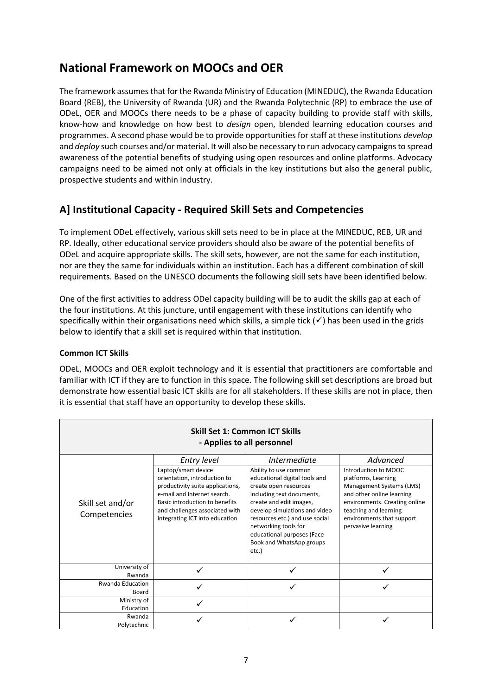### <span id="page-6-0"></span>**National Framework on MOOCs and OER**

The framework assumes that for the Rwanda Ministry of Education (MINEDUC), the Rwanda Education Board (REB), the University of Rwanda (UR) and the Rwanda Polytechnic (RP) to embrace the use of ODeL, OER and MOOCs there needs to be a phase of capacity building to provide staff with skills, know-how and knowledge on how best to *design* open, blended learning education courses and programmes. A second phase would be to provide opportunities for staff at these institutions *develop* and *deploy* such courses and/or material. It will also be necessary to run advocacy campaigns to spread awareness of the potential benefits of studying using open resources and online platforms. Advocacy campaigns need to be aimed not only at officials in the key institutions but also the general public, prospective students and within industry.

### <span id="page-6-1"></span>**A] Institutional Capacity - Required Skill Sets and Competencies**

To implement ODeL effectively, various skill sets need to be in place at the MINEDUC, REB, UR and RP. Ideally, other educational service providers should also be aware of the potential benefits of ODeL and acquire appropriate skills. The skill sets, however, are not the same for each institution, nor are they the same for individuals within an institution. Each has a different combination of skill requirements. Based on the UNESCO documents the following skill sets have been identified below.

One of the first activities to address ODel capacity building will be to audit the skills gap at each of the four institutions. At this juncture, until engagement with these institutions can identify who specifically within their organisations need which skills, a simple tick  $(v')$  has been used in the grids below to identify that a skill set is required within that institution.

#### **Common ICT Skills**

ODeL, MOOCs and OER exploit technology and it is essential that practitioners are comfortable and familiar with ICT if they are to function in this space. The following skill set descriptions are broad but demonstrate how essential basic ICT skills are for all stakeholders. If these skills are not in place, then it is essential that staff have an opportunity to develop these skills.

| <b>Skill Set 1: Common ICT Skills</b><br>- Applies to all personnel |                                                                                                                                                                                                                                             |                                                                                                                                                                                                                                                                                                                              |                                                                                                                                                                                                                               |
|---------------------------------------------------------------------|---------------------------------------------------------------------------------------------------------------------------------------------------------------------------------------------------------------------------------------------|------------------------------------------------------------------------------------------------------------------------------------------------------------------------------------------------------------------------------------------------------------------------------------------------------------------------------|-------------------------------------------------------------------------------------------------------------------------------------------------------------------------------------------------------------------------------|
| Skill set and/or<br>Competencies                                    | Entry level<br>Laptop/smart device<br>orientation, introduction to<br>productivity suite applications,<br>e-mail and Internet search.<br>Basic introduction to benefits<br>and challenges associated with<br>integrating ICT into education | <i>Intermediate</i><br>Ability to use common<br>educational digital tools and<br>create open resources<br>including text documents,<br>create and edit images,<br>develop simulations and video<br>resources etc.) and use social<br>networking tools for<br>educational purposes (Face<br>Book and WhatsApp groups<br>etc.) | Advanced<br>Introduction to MOOC<br>platforms, Learning<br>Management Systems (LMS)<br>and other online learning<br>environments. Creating online<br>teaching and learning<br>environments that support<br>pervasive learning |
| University of<br>Rwanda                                             |                                                                                                                                                                                                                                             |                                                                                                                                                                                                                                                                                                                              |                                                                                                                                                                                                                               |
| <b>Rwanda Education</b><br>Board                                    |                                                                                                                                                                                                                                             |                                                                                                                                                                                                                                                                                                                              |                                                                                                                                                                                                                               |
| Ministry of<br>Education                                            |                                                                                                                                                                                                                                             |                                                                                                                                                                                                                                                                                                                              |                                                                                                                                                                                                                               |
| Rwanda<br>Polytechnic                                               |                                                                                                                                                                                                                                             |                                                                                                                                                                                                                                                                                                                              |                                                                                                                                                                                                                               |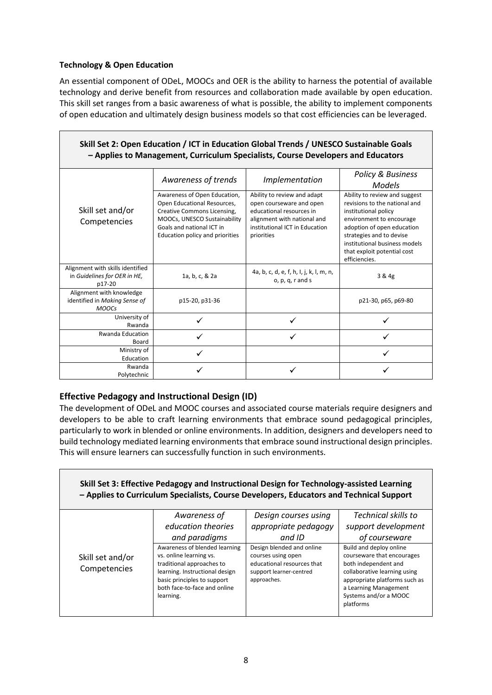#### **Technology & Open Education**

An essential component of ODeL, MOOCs and OER is the ability to harness the potential of available technology and derive benefit from resources and collaboration made available by open education. This skill set ranges from a basic awareness of what is possible, the ability to implement components of open education and ultimately design business models so that cost efficiencies can be leveraged.

| Skill Set 2: Open Education / ICT in Education Global Trends / UNESCO Sustainable Goals<br>- Applies to Management, Curriculum Specialists, Course Developers and Educators |                                                                                                                                                                                            |                                                                                                                                                                    |                                                                                                                                                                                                                                                               |
|-----------------------------------------------------------------------------------------------------------------------------------------------------------------------------|--------------------------------------------------------------------------------------------------------------------------------------------------------------------------------------------|--------------------------------------------------------------------------------------------------------------------------------------------------------------------|---------------------------------------------------------------------------------------------------------------------------------------------------------------------------------------------------------------------------------------------------------------|
|                                                                                                                                                                             | Awareness of trends                                                                                                                                                                        | Implementation                                                                                                                                                     | <b>Policy &amp; Business</b><br><b>Models</b>                                                                                                                                                                                                                 |
| Skill set and/or<br>Competencies                                                                                                                                            | Awareness of Open Education,<br>Open Educational Resources,<br>Creative Commons Licensing,<br>MOOCs, UNESCO Sustainability<br>Goals and national ICT in<br>Education policy and priorities | Ability to review and adapt<br>open courseware and open<br>educational resources in<br>alignment with national and<br>institutional ICT in Education<br>priorities | Ability to review and suggest<br>revisions to the national and<br>institutional policy<br>environment to encourage<br>adoption of open education<br>strategies and to devise<br>institutional business models<br>that exploit potential cost<br>efficiencies. |
| Alignment with skills identified<br>in Guidelines for OER in HE,<br>p17-20                                                                                                  | 1a, b, c, & 2a                                                                                                                                                                             | 4a, b, c, d, e, f, h, l, j, k, l, m, n,<br>$o, p, q, r$ and s                                                                                                      | 3 & 4g                                                                                                                                                                                                                                                        |
| Alignment with knowledge<br>identified in Making Sense of<br><b>MOOCs</b>                                                                                                   | p15-20, p31-36                                                                                                                                                                             |                                                                                                                                                                    | p21-30, p65, p69-80                                                                                                                                                                                                                                           |
| University of<br>Rwanda                                                                                                                                                     | ✓                                                                                                                                                                                          | ✓                                                                                                                                                                  |                                                                                                                                                                                                                                                               |
| <b>Rwanda Education</b><br>Board                                                                                                                                            |                                                                                                                                                                                            |                                                                                                                                                                    |                                                                                                                                                                                                                                                               |
| Ministry of<br>Education                                                                                                                                                    |                                                                                                                                                                                            |                                                                                                                                                                    |                                                                                                                                                                                                                                                               |
| Rwanda<br>Polytechnic                                                                                                                                                       |                                                                                                                                                                                            |                                                                                                                                                                    |                                                                                                                                                                                                                                                               |

#### **Effective Pedagogy and Instructional Design (ID)**

The development of ODeL and MOOC courses and associated course materials require designers and developers to be able to craft learning environments that embrace sound pedagogical principles, particularly to work in blended or online environments. In addition, designers and developers need to build technology mediated learning environments that embrace sound instructional design principles. This will ensure learners can successfully function in such environments.

| Skill Set 3: Effective Pedagogy and Instructional Design for Technology-assisted Learning<br>- Applies to Curriculum Specialists, Course Developers, Educators and Technical Support |                                                                                                                                                                                                     |                                                                                                                         |                                                                                                                                                                                                               |
|--------------------------------------------------------------------------------------------------------------------------------------------------------------------------------------|-----------------------------------------------------------------------------------------------------------------------------------------------------------------------------------------------------|-------------------------------------------------------------------------------------------------------------------------|---------------------------------------------------------------------------------------------------------------------------------------------------------------------------------------------------------------|
|                                                                                                                                                                                      | Awareness of                                                                                                                                                                                        | Design courses using                                                                                                    | <b>Technical skills to</b>                                                                                                                                                                                    |
|                                                                                                                                                                                      | education theories                                                                                                                                                                                  | appropriate pedagogy                                                                                                    | support development                                                                                                                                                                                           |
|                                                                                                                                                                                      | and paradigms                                                                                                                                                                                       | and ID                                                                                                                  | of courseware                                                                                                                                                                                                 |
| Skill set and/or<br>Competencies                                                                                                                                                     | Awareness of blended learning<br>vs. online learning vs.<br>traditional approaches to<br>learning. Instructional design<br>basic principles to support<br>both face-to-face and online<br>learning. | Design blended and online<br>courses using open<br>educational resources that<br>support learner-centred<br>approaches. | Build and deploy online<br>courseware that encourages<br>both independent and<br>collaborative learning using<br>appropriate platforms such as<br>a Learning Management<br>Systems and/or a MOOC<br>platforms |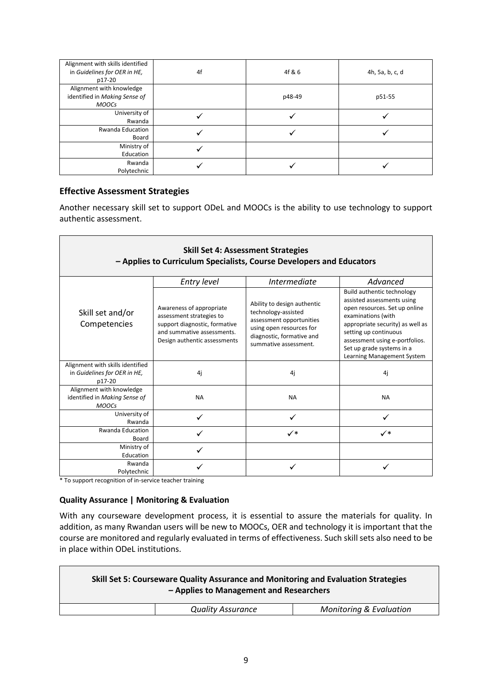| Alignment with skills identified<br>in Guidelines for OER in HE,<br>p17-20 | 4f | 4f & 6 | 4h, 5a, b, c, d |
|----------------------------------------------------------------------------|----|--------|-----------------|
| Alignment with knowledge<br>identified in Making Sense of<br><b>MOOCs</b>  |    | p48-49 | p51-55          |
| University of<br>Rwanda                                                    |    |        |                 |
| <b>Rwanda Education</b><br>Board                                           |    |        |                 |
| Ministry of<br>Education                                                   |    |        |                 |
| Rwanda<br>Polytechnic                                                      |    |        |                 |

#### **Effective Assessment Strategies**

Another necessary skill set to support ODeL and MOOCs is the ability to use technology to support authentic assessment.

| <b>Skill Set 4: Assessment Strategies</b><br>- Applies to Curriculum Specialists, Course Developers and Educators                                   |                                                                                                                                                                  |                                                                                                                                                                                                                                                                           |  |
|-----------------------------------------------------------------------------------------------------------------------------------------------------|------------------------------------------------------------------------------------------------------------------------------------------------------------------|---------------------------------------------------------------------------------------------------------------------------------------------------------------------------------------------------------------------------------------------------------------------------|--|
| Entry level                                                                                                                                         | <i>Intermediate</i>                                                                                                                                              | Advanced                                                                                                                                                                                                                                                                  |  |
| Awareness of appropriate<br>assessment strategies to<br>support diagnostic, formative<br>and summative assessments.<br>Design authentic assessments | Ability to design authentic<br>technology-assisted<br>assessment opportunities<br>using open resources for<br>diagnostic, formative and<br>summative assessment. | Build authentic technology<br>assisted assessments using<br>open resources. Set up online<br>examinations (with<br>appropriate security) as well as<br>setting up continuous<br>assessment using e-portfolios.<br>Set up grade systems in a<br>Learning Management System |  |
|                                                                                                                                                     |                                                                                                                                                                  |                                                                                                                                                                                                                                                                           |  |
| 4j                                                                                                                                                  | 4j                                                                                                                                                               | 4i                                                                                                                                                                                                                                                                        |  |
| <b>NA</b>                                                                                                                                           | <b>NA</b>                                                                                                                                                        | <b>NA</b>                                                                                                                                                                                                                                                                 |  |
| ✓                                                                                                                                                   | ✓                                                                                                                                                                |                                                                                                                                                                                                                                                                           |  |
|                                                                                                                                                     | ✓∗                                                                                                                                                               | $\checkmark$                                                                                                                                                                                                                                                              |  |
|                                                                                                                                                     |                                                                                                                                                                  |                                                                                                                                                                                                                                                                           |  |
|                                                                                                                                                     |                                                                                                                                                                  |                                                                                                                                                                                                                                                                           |  |
|                                                                                                                                                     |                                                                                                                                                                  |                                                                                                                                                                                                                                                                           |  |
|                                                                                                                                                     |                                                                                                                                                                  |                                                                                                                                                                                                                                                                           |  |
|                                                                                                                                                     |                                                                                                                                                                  |                                                                                                                                                                                                                                                                           |  |

\* To support recognition of in-service teacher training

 $\blacksquare$ 

#### **Quality Assurance | Monitoring & Evaluation**

With any courseware development process, it is essential to assure the materials for quality. In addition, as many Rwandan users will be new to MOOCs, OER and technology it is important that the course are monitored and regularly evaluated in terms of effectiveness. Such skill sets also need to be in place within ODeL institutions.

| Skill Set 5: Courseware Quality Assurance and Monitoring and Evaluation Strategies<br>- Applies to Management and Researchers |                                    |
|-------------------------------------------------------------------------------------------------------------------------------|------------------------------------|
| <b>Quality Assurance</b>                                                                                                      | <b>Monitoring &amp; Evaluation</b> |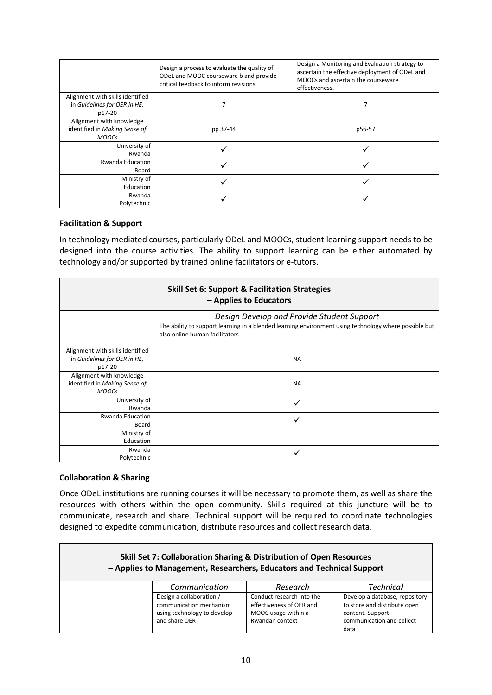|                                                                            | Design a process to evaluate the quality of<br>ODeL and MOOC courseware b and provide<br>critical feedback to inform revisions | Design a Monitoring and Evaluation strategy to<br>ascertain the effective deployment of ODeL and<br>MOOCs and ascertain the courseware<br>effectiveness. |
|----------------------------------------------------------------------------|--------------------------------------------------------------------------------------------------------------------------------|----------------------------------------------------------------------------------------------------------------------------------------------------------|
| Alignment with skills identified<br>in Guidelines for OER in HE,<br>p17-20 |                                                                                                                                |                                                                                                                                                          |
| Alignment with knowledge<br>identified in Making Sense of<br><b>MOOCs</b>  | pp 37-44                                                                                                                       | p56-57                                                                                                                                                   |
| University of<br>Rwanda                                                    |                                                                                                                                |                                                                                                                                                          |
| <b>Rwanda Education</b><br>Board                                           |                                                                                                                                |                                                                                                                                                          |
| Ministry of<br>Education                                                   |                                                                                                                                |                                                                                                                                                          |
| Rwanda<br>Polytechnic                                                      |                                                                                                                                |                                                                                                                                                          |

#### **Facilitation & Support**

In technology mediated courses, particularly ODeL and MOOCs, student learning support needs to be designed into the course activities. The ability to support learning can be either automated by technology and/or supported by trained online facilitators or e-tutors.

| <b>Skill Set 6: Support &amp; Facilitation Strategies</b><br>- Applies to Educators |                                                                                                                                         |  |  |
|-------------------------------------------------------------------------------------|-----------------------------------------------------------------------------------------------------------------------------------------|--|--|
|                                                                                     | Design Develop and Provide Student Support                                                                                              |  |  |
|                                                                                     | The ability to support learning in a blended learning environment using technology where possible but<br>also online human facilitators |  |  |
| Alignment with skills identified<br>in Guidelines for OER in HE,<br>p17-20          | <b>NA</b>                                                                                                                               |  |  |
| Alignment with knowledge<br>identified in Making Sense of<br><b>MOOCs</b>           | <b>NA</b>                                                                                                                               |  |  |
| University of<br>Rwanda                                                             | ✓                                                                                                                                       |  |  |
| <b>Rwanda Education</b><br>Board                                                    |                                                                                                                                         |  |  |
| Ministry of                                                                         |                                                                                                                                         |  |  |
| Education                                                                           |                                                                                                                                         |  |  |
| Rwanda<br>Polytechnic                                                               |                                                                                                                                         |  |  |

#### **Collaboration & Sharing**

Once ODeL institutions are running courses it will be necessary to promote them, as well as share the resources with others within the open community. Skills required at this juncture will be to communicate, research and share. Technical support will be required to coordinate technologies designed to expedite communication, distribute resources and collect research data.

| <b>Skill Set 7: Collaboration Sharing &amp; Distribution of Open Resources</b><br>- Applies to Management, Researchers, Educators and Technical Support |                                                                                                     |                                                                                                 |                                                                                                                         |
|---------------------------------------------------------------------------------------------------------------------------------------------------------|-----------------------------------------------------------------------------------------------------|-------------------------------------------------------------------------------------------------|-------------------------------------------------------------------------------------------------------------------------|
|                                                                                                                                                         | Communication                                                                                       | Research                                                                                        | <b>Technical</b>                                                                                                        |
|                                                                                                                                                         | Design a collaboration /<br>communication mechanism<br>using technology to develop<br>and share OER | Conduct research into the<br>effectiveness of OER and<br>MOOC usage within a<br>Rwandan context | Develop a database, repository<br>to store and distribute open<br>content. Support<br>communication and collect<br>data |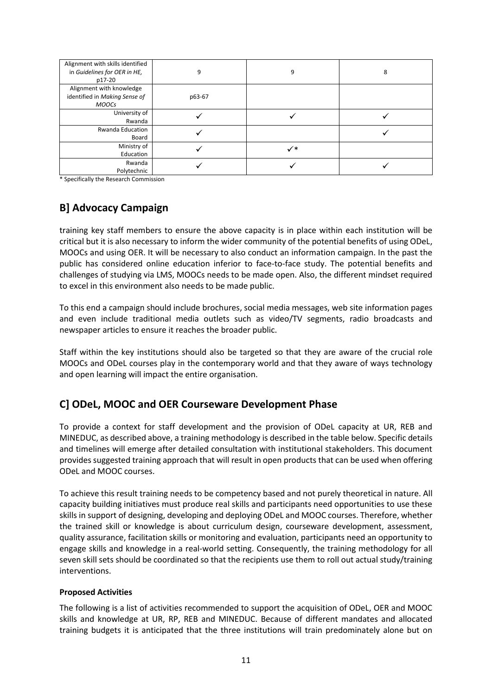| Alignment with skills identified<br>in Guidelines for OER in HE,<br>p17-20 | 9      | 9              | 8 |
|----------------------------------------------------------------------------|--------|----------------|---|
| Alignment with knowledge<br>identified in Making Sense of<br><b>MOOCs</b>  | p63-67 |                |   |
| University of<br>Rwanda                                                    |        |                |   |
| <b>Rwanda Education</b><br>Board                                           |        |                |   |
| Ministry of<br>Education                                                   |        | $\checkmark^*$ |   |
| Rwanda<br>Polytechnic                                                      |        |                |   |

<span id="page-10-0"></span>\* Specifically the Research Commission

### **B] Advocacy Campaign**

training key staff members to ensure the above capacity is in place within each institution will be critical but it is also necessary to inform the wider community of the potential benefits of using ODeL, MOOCs and using OER. It will be necessary to also conduct an information campaign. In the past the public has considered online education inferior to face-to-face study. The potential benefits and challenges of studying via LMS, MOOCs needs to be made open. Also, the different mindset required to excel in this environment also needs to be made public.

To this end a campaign should include brochures, social media messages, web site information pages and even include traditional media outlets such as video/TV segments, radio broadcasts and newspaper articles to ensure it reaches the broader public.

Staff within the key institutions should also be targeted so that they are aware of the crucial role MOOCs and ODeL courses play in the contemporary world and that they aware of ways technology and open learning will impact the entire organisation.

### <span id="page-10-1"></span>**C] ODeL, MOOC and OER Courseware Development Phase**

To provide a context for staff development and the provision of ODeL capacity at UR, REB and MINEDUC, as described above, a training methodology is described in the table below. Specific details and timelines will emerge after detailed consultation with institutional stakeholders. This document provides suggested training approach that will result in open products that can be used when offering ODeL and MOOC courses.

To achieve this result training needs to be competency based and not purely theoretical in nature. All capacity building initiatives must produce real skills and participants need opportunities to use these skills in support of designing, developing and deploying ODeL and MOOC courses. Therefore, whether the trained skill or knowledge is about curriculum design, courseware development, assessment, quality assurance, facilitation skills or monitoring and evaluation, participants need an opportunity to engage skills and knowledge in a real-world setting. Consequently, the training methodology for all seven skill sets should be coordinated so that the recipients use them to roll out actual study/training interventions.

#### **Proposed Activities**

The following is a list of activities recommended to support the acquisition of ODeL, OER and MOOC skills and knowledge at UR, RP, REB and MINEDUC. Because of different mandates and allocated training budgets it is anticipated that the three institutions will train predominately alone but on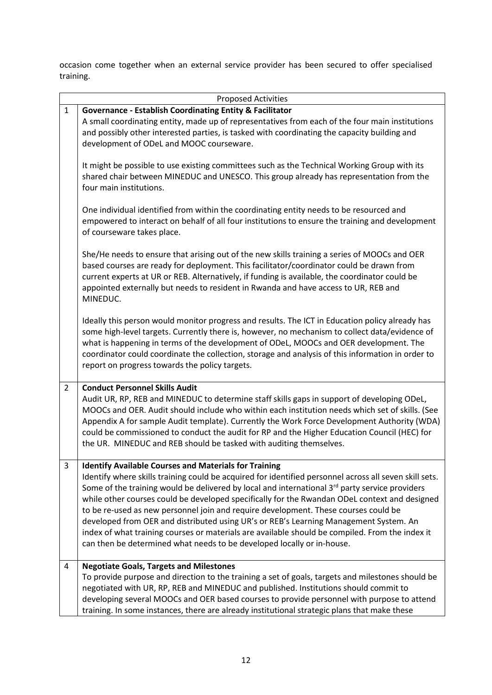occasion come together when an external service provider has been secured to offer specialised training.

|                | <b>Proposed Activities</b>                                                                                                                                                                                                                                                                                                                                                                                                                                                                                                                                                                                                                                                                                                             |
|----------------|----------------------------------------------------------------------------------------------------------------------------------------------------------------------------------------------------------------------------------------------------------------------------------------------------------------------------------------------------------------------------------------------------------------------------------------------------------------------------------------------------------------------------------------------------------------------------------------------------------------------------------------------------------------------------------------------------------------------------------------|
| $\mathbf{1}$   | <b>Governance - Establish Coordinating Entity &amp; Facilitator</b><br>A small coordinating entity, made up of representatives from each of the four main institutions<br>and possibly other interested parties, is tasked with coordinating the capacity building and<br>development of ODeL and MOOC courseware.                                                                                                                                                                                                                                                                                                                                                                                                                     |
|                | It might be possible to use existing committees such as the Technical Working Group with its<br>shared chair between MINEDUC and UNESCO. This group already has representation from the<br>four main institutions.                                                                                                                                                                                                                                                                                                                                                                                                                                                                                                                     |
|                | One individual identified from within the coordinating entity needs to be resourced and<br>empowered to interact on behalf of all four institutions to ensure the training and development<br>of courseware takes place.                                                                                                                                                                                                                                                                                                                                                                                                                                                                                                               |
|                | She/He needs to ensure that arising out of the new skills training a series of MOOCs and OER<br>based courses are ready for deployment. This facilitator/coordinator could be drawn from<br>current experts at UR or REB. Alternatively, if funding is available, the coordinator could be<br>appointed externally but needs to resident in Rwanda and have access to UR, REB and<br>MINEDUC.                                                                                                                                                                                                                                                                                                                                          |
|                | Ideally this person would monitor progress and results. The ICT in Education policy already has<br>some high-level targets. Currently there is, however, no mechanism to collect data/evidence of<br>what is happening in terms of the development of ODeL, MOOCs and OER development. The<br>coordinator could coordinate the collection, storage and analysis of this information in order to<br>report on progress towards the policy targets.                                                                                                                                                                                                                                                                                      |
| $\overline{2}$ | <b>Conduct Personnel Skills Audit</b><br>Audit UR, RP, REB and MINEDUC to determine staff skills gaps in support of developing ODeL,<br>MOOCs and OER. Audit should include who within each institution needs which set of skills. (See<br>Appendix A for sample Audit template). Currently the Work Force Development Authority (WDA)<br>could be commissioned to conduct the audit for RP and the Higher Education Council (HEC) for<br>the UR. MINEDUC and REB should be tasked with auditing themselves.                                                                                                                                                                                                                           |
| 3              | <b>Identify Available Courses and Materials for Training</b><br>Identify where skills training could be acquired for identified personnel across all seven skill sets.<br>Some of the training would be delivered by local and international 3rd party service providers<br>while other courses could be developed specifically for the Rwandan ODeL context and designed<br>to be re-used as new personnel join and require development. These courses could be<br>developed from OER and distributed using UR's or REB's Learning Management System. An<br>index of what training courses or materials are available should be compiled. From the index it<br>can then be determined what needs to be developed locally or in-house. |
| 4              | <b>Negotiate Goals, Targets and Milestones</b><br>To provide purpose and direction to the training a set of goals, targets and milestones should be<br>negotiated with UR, RP, REB and MINEDUC and published. Institutions should commit to<br>developing several MOOCs and OER based courses to provide personnel with purpose to attend<br>training. In some instances, there are already institutional strategic plans that make these                                                                                                                                                                                                                                                                                              |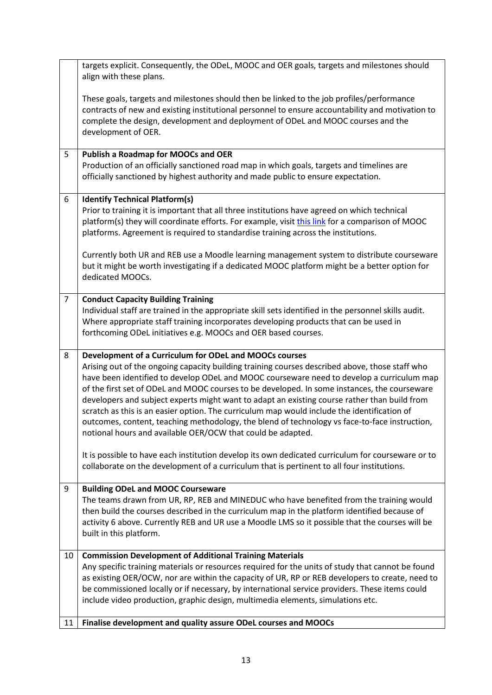|                | targets explicit. Consequently, the ODeL, MOOC and OER goals, targets and milestones should<br>align with these plans.                                                                                                                                                                                                                                                                                                                                                                                                                                                                                                                                                                                               |
|----------------|----------------------------------------------------------------------------------------------------------------------------------------------------------------------------------------------------------------------------------------------------------------------------------------------------------------------------------------------------------------------------------------------------------------------------------------------------------------------------------------------------------------------------------------------------------------------------------------------------------------------------------------------------------------------------------------------------------------------|
|                | These goals, targets and milestones should then be linked to the job profiles/performance<br>contracts of new and existing institutional personnel to ensure accountability and motivation to<br>complete the design, development and deployment of ODeL and MOOC courses and the<br>development of OER.                                                                                                                                                                                                                                                                                                                                                                                                             |
| 5              | <b>Publish a Roadmap for MOOCs and OER</b>                                                                                                                                                                                                                                                                                                                                                                                                                                                                                                                                                                                                                                                                           |
|                | Production of an officially sanctioned road map in which goals, targets and timelines are<br>officially sanctioned by highest authority and made public to ensure expectation.                                                                                                                                                                                                                                                                                                                                                                                                                                                                                                                                       |
| 6              | <b>Identify Technical Platform(s)</b>                                                                                                                                                                                                                                                                                                                                                                                                                                                                                                                                                                                                                                                                                |
|                | Prior to training it is important that all three institutions have agreed on which technical                                                                                                                                                                                                                                                                                                                                                                                                                                                                                                                                                                                                                         |
|                | platform(s) they will coordinate efforts. For example, visit this link for a comparison of MOOC<br>platforms. Agreement is required to standardise training across the institutions.                                                                                                                                                                                                                                                                                                                                                                                                                                                                                                                                 |
|                | Currently both UR and REB use a Moodle learning management system to distribute courseware<br>but it might be worth investigating if a dedicated MOOC platform might be a better option for<br>dedicated MOOCs.                                                                                                                                                                                                                                                                                                                                                                                                                                                                                                      |
| $\overline{7}$ | <b>Conduct Capacity Building Training</b>                                                                                                                                                                                                                                                                                                                                                                                                                                                                                                                                                                                                                                                                            |
|                | Individual staff are trained in the appropriate skill sets identified in the personnel skills audit.<br>Where appropriate staff training incorporates developing products that can be used in<br>forthcoming ODeL initiatives e.g. MOOCs and OER based courses.                                                                                                                                                                                                                                                                                                                                                                                                                                                      |
| 8              | Development of a Curriculum for ODeL and MOOCs courses<br>Arising out of the ongoing capacity building training courses described above, those staff who<br>have been identified to develop ODeL and MOOC courseware need to develop a curriculum map<br>of the first set of ODeL and MOOC courses to be developed. In some instances, the courseware<br>developers and subject experts might want to adapt an existing course rather than build from<br>scratch as this is an easier option. The curriculum map would include the identification of<br>outcomes, content, teaching methodology, the blend of technology vs face-to-face instruction,<br>notional hours and available OER/OCW that could be adapted. |
|                | It is possible to have each institution develop its own dedicated curriculum for courseware or to<br>collaborate on the development of a curriculum that is pertinent to all four institutions.                                                                                                                                                                                                                                                                                                                                                                                                                                                                                                                      |
| 9              | <b>Building ODeL and MOOC Courseware</b><br>The teams drawn from UR, RP, REB and MINEDUC who have benefited from the training would<br>then build the courses described in the curriculum map in the platform identified because of<br>activity 6 above. Currently REB and UR use a Moodle LMS so it possible that the courses will be<br>built in this platform.                                                                                                                                                                                                                                                                                                                                                    |
| 10             | <b>Commission Development of Additional Training Materials</b>                                                                                                                                                                                                                                                                                                                                                                                                                                                                                                                                                                                                                                                       |
|                | Any specific training materials or resources required for the units of study that cannot be found                                                                                                                                                                                                                                                                                                                                                                                                                                                                                                                                                                                                                    |
|                | as existing OER/OCW, nor are within the capacity of UR, RP or REB developers to create, need to<br>be commissioned locally or if necessary, by international service providers. These items could                                                                                                                                                                                                                                                                                                                                                                                                                                                                                                                    |
|                | include video production, graphic design, multimedia elements, simulations etc.                                                                                                                                                                                                                                                                                                                                                                                                                                                                                                                                                                                                                                      |
| 11             | Finalise development and quality assure ODeL courses and MOOCs                                                                                                                                                                                                                                                                                                                                                                                                                                                                                                                                                                                                                                                       |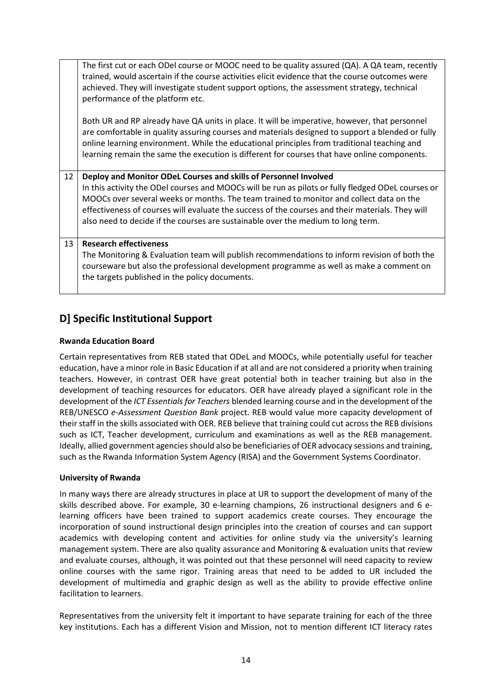|    | The first cut or each ODel course or MOOC need to be quality assured (QA). A QA team, recently<br>trained, would ascertain if the course activities elicit evidence that the course outcomes were<br>achieved. They will investigate student support options, the assessment strategy, technical<br>performance of the platform etc.                                                             |
|----|--------------------------------------------------------------------------------------------------------------------------------------------------------------------------------------------------------------------------------------------------------------------------------------------------------------------------------------------------------------------------------------------------|
|    | Both UR and RP already have QA units in place. It will be imperative, however, that personnel<br>are comfortable in quality assuring courses and materials designed to support a blended or fully<br>online learning environment. While the educational principles from traditional teaching and<br>learning remain the same the execution is different for courses that have online components. |
| 12 | Deploy and Monitor ODeL Courses and skills of Personnel Involved                                                                                                                                                                                                                                                                                                                                 |
|    | In this activity the ODel courses and MOOCs will be run as pilots or fully fledged ODeL courses or<br>MOOCs over several weeks or months. The team trained to monitor and collect data on the<br>effectiveness of courses will evaluate the success of the courses and their materials. They will<br>also need to decide if the courses are sustainable over the medium to long term.            |
| 13 | <b>Research effectiveness</b><br>The Monitoring & Evaluation team will publish recommendations to inform revision of both the<br>courseware but also the professional development programme as well as make a comment on<br>the targets published in the policy documents.                                                                                                                       |

### <span id="page-13-0"></span>**D] Specific Institutional Support**

#### **Rwanda Education Board**

Certain representatives from REB stated that ODeL and MOOCs, while potentially useful for teacher education, have a minor role in Basic Education if at all and are not considered a priority when training teachers. However, in contrast OER have great potential both in teacher training but also in the development of teaching resources for educators. OER have already played a significant role in the development of the *ICT Essentials for Teachers* blended learning course and in the development of the REB/UNESCO *e-Assessment Question Bank* project. REB would value more capacity development of their staff in the skills associated with OER. REB believe that training could cut across the REB divisions such as ICT, Teacher development, curriculum and examinations as well as the REB management. Ideally, allied government agencies should also be beneficiaries of OER advocacy sessions and training, such as the Rwanda Information System Agency (RISA) and the Government Systems Coordinator.

#### **University of Rwanda**

In many ways there are already structures in place at UR to support the development of many of the skills described above. For example, 30 e-learning champions, 26 instructional designers and 6 elearning officers have been trained to support academics create courses. They encourage the incorporation of sound instructional design principles into the creation of courses and can support academics with developing content and activities for online study via the university's learning management system. There are also quality assurance and Monitoring & evaluation units that review and evaluate courses, although, it was pointed out that these personnel will need capacity to review online courses with the same rigor. Training areas that need to be added to UR included the development of multimedia and graphic design as well as the ability to provide effective online facilitation to learners.

Representatives from the university felt it important to have separate training for each of the three key institutions. Each has a different Vision and Mission, not to mention different ICT literacy rates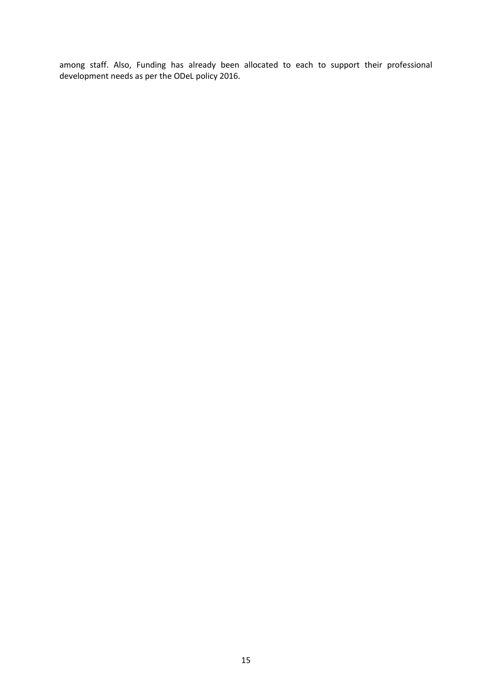among staff. Also, Funding has already been allocated to each to support their professional development needs as per the ODeL policy 2016.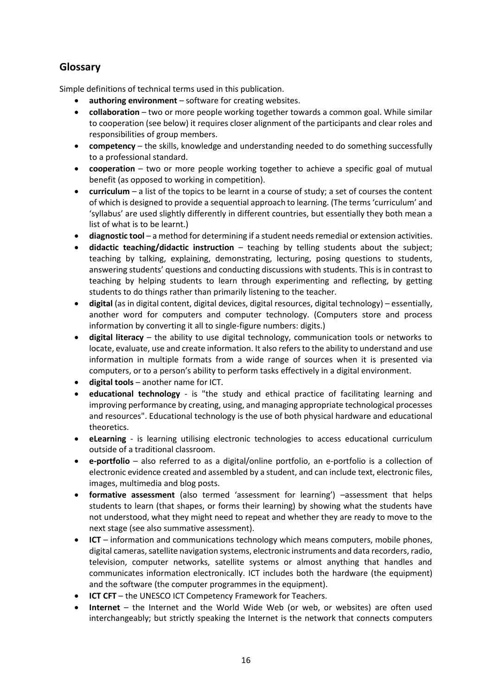### <span id="page-15-0"></span>**Glossary**

Simple definitions of technical terms used in this publication.

- **authoring environment** software for creating websites.
- **collaboration** two or more people working together towards a common goal. While similar to cooperation (see below) it requires closer alignment of the participants and clear roles and responsibilities of group members.
- **competency** the skills, knowledge and understanding needed to do something successfully to a professional standard.
- **cooperation** two or more people working together to achieve a specific goal of mutual benefit (as opposed to working in competition).
- **curriculum** a list of the topics to be learnt in a course of study; a set of courses the content of which is designed to provide a sequential approach to learning. (The terms 'curriculum' and 'syllabus' are used slightly differently in different countries, but essentially they both mean a list of what is to be learnt.)
- **diagnostic tool** a method for determining if a student needs remedial or extension activities.
- **didactic teaching/didactic instruction** teaching by telling students about the subject; teaching by talking, explaining, demonstrating, lecturing, posing questions to students, answering students' questions and conducting discussions with students. This is in contrast to teaching by helping students to learn through experimenting and reflecting, by getting students to do things rather than primarily listening to the teacher.
- **digital** (as in digital content, digital devices, digital resources, digital technology) essentially, another word for computers and computer technology. (Computers store and process information by converting it all to single-figure numbers: digits.)
- **digital literacy** the ability to use digital technology, communication tools or networks to locate, evaluate, use and create information. It also refers to the ability to understand and use information in multiple formats from a wide range of sources when it is presented via computers, or to a person's ability to perform tasks effectively in a digital environment.
- **digital tools** another name for ICT.
- **educational technology** is "the study and ethical practice of facilitating learning and improving performance by creating, using, and managing appropriate technological processes and resources". Educational technology is the use of both physical hardware and educational theoretics.
- **eLearning** is learning utilising electronic technologies to access educational curriculum outside of a traditional classroom.
- **e-portfolio** also referred to as a digital/online portfolio, an e-portfolio is a collection of electronic evidence created and assembled by a student, and can include text, electronic files, images, multimedia and blog posts.
- **formative assessment** (also termed 'assessment for learning') –assessment that helps students to learn (that shapes, or forms their learning) by showing what the students have not understood, what they might need to repeat and whether they are ready to move to the next stage (see also summative assessment).
- **ICT** information and communications technology which means computers, mobile phones, digital cameras, satellite navigation systems, electronic instruments and data recorders, radio, television, computer networks, satellite systems or almost anything that handles and communicates information electronically. ICT includes both the hardware (the equipment) and the software (the computer programmes in the equipment).
- **ICT CFT** the UNESCO ICT Competency Framework for Teachers.
- **Internet** the Internet and the World Wide Web (or web, or websites) are often used interchangeably; but strictly speaking the Internet is the network that connects computers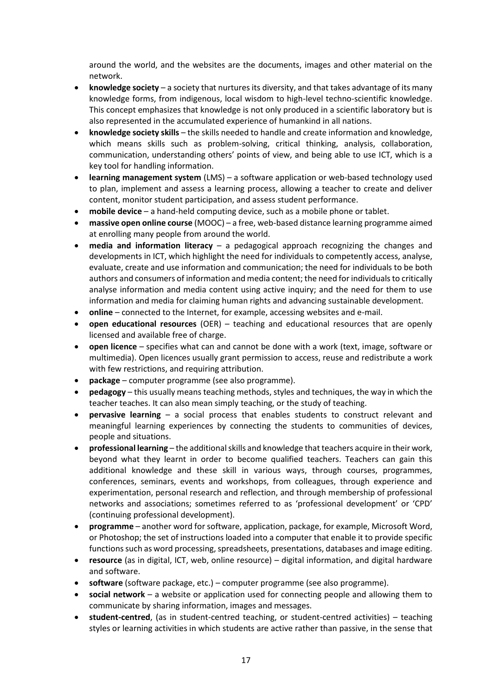around the world, and the websites are the documents, images and other material on the network.

- **knowledge society** a society that nurtures its diversity, and that takes advantage of its many knowledge forms, from indigenous, local wisdom to high-level techno-scientific knowledge. This concept emphasizes that knowledge is not only produced in a scientific laboratory but is also represented in the accumulated experience of humankind in all nations.
- **knowledge society skills** the skills needed to handle and create information and knowledge, which means skills such as problem-solving, critical thinking, analysis, collaboration, communication, understanding others' points of view, and being able to use ICT, which is a key tool for handling information.
- **learning management system** (LMS) a software application or web-based technology used to plan, implement and assess a learning process, allowing a teacher to create and deliver content, monitor student participation, and assess student performance.
- **mobile device** a hand-held computing device, such as a mobile phone or tablet.
- **massive open online course** (MOOC) a free, web-based distance learning programme aimed at enrolling many people from around the world.
- **media and information literacy** a pedagogical approach recognizing the changes and developments in ICT, which highlight the need for individuals to competently access, analyse, evaluate, create and use information and communication; the need for individuals to be both authors and consumers of information and media content; the need for individuals to critically analyse information and media content using active inquiry; and the need for them to use information and media for claiming human rights and advancing sustainable development.
- **online** connected to the Internet, for example, accessing websites and e-mail.
- **open educational resources** (OER) teaching and educational resources that are openly licensed and available free of charge.
- **open licence** specifies what can and cannot be done with a work (text, image, software or multimedia). Open licences usually grant permission to access, reuse and redistribute a work with few restrictions, and requiring attribution.
- **package** computer programme (see also programme).
- **pedagogy** this usually means teaching methods, styles and techniques, the way in which the teacher teaches. It can also mean simply teaching, or the study of teaching.
- **pervasive learning** a social process that enables students to construct relevant and meaningful learning experiences by connecting the students to communities of devices, people and situations.
- **professional learning** the additional skills and knowledge that teachers acquire in their work, beyond what they learnt in order to become qualified teachers. Teachers can gain this additional knowledge and these skill in various ways, through courses, programmes, conferences, seminars, events and workshops, from colleagues, through experience and experimentation, personal research and reflection, and through membership of professional networks and associations; sometimes referred to as 'professional development' or 'CPD' (continuing professional development).
- **programme** another word for software, application, package, for example, Microsoft Word, or Photoshop; the set of instructions loaded into a computer that enable it to provide specific functions such as word processing, spreadsheets, presentations, databases and image editing.
- **resource** (as in digital, ICT, web, online resource) digital information, and digital hardware and software.
- **software** (software package, etc.) computer programme (see also programme).
- **social network** a website or application used for connecting people and allowing them to communicate by sharing information, images and messages.
- **student-centred**, (as in student-centred teaching, or student-centred activities) teaching styles or learning activities in which students are active rather than passive, in the sense that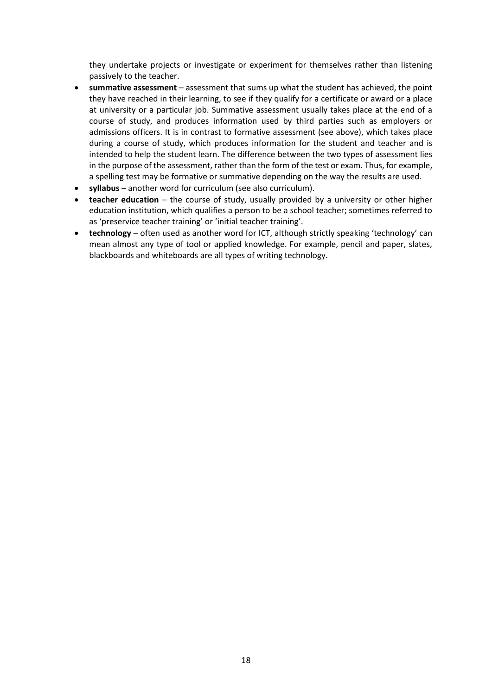they undertake projects or investigate or experiment for themselves rather than listening passively to the teacher.

- **summative assessment** assessment that sums up what the student has achieved, the point they have reached in their learning, to see if they qualify for a certificate or award or a place at university or a particular job. Summative assessment usually takes place at the end of a course of study, and produces information used by third parties such as employers or admissions officers. It is in contrast to formative assessment (see above), which takes place during a course of study, which produces information for the student and teacher and is intended to help the student learn. The difference between the two types of assessment lies in the purpose of the assessment, rather than the form of the test or exam. Thus, for example, a spelling test may be formative or summative depending on the way the results are used.
- **syllabus** another word for curriculum (see also curriculum).
- **teacher education** the course of study, usually provided by a university or other higher education institution, which qualifies a person to be a school teacher; sometimes referred to as 'preservice teacher training' or 'initial teacher training'.
- **technology** often used as another word for ICT, although strictly speaking 'technology' can mean almost any type of tool or applied knowledge. For example, pencil and paper, slates, blackboards and whiteboards are all types of writing technology.